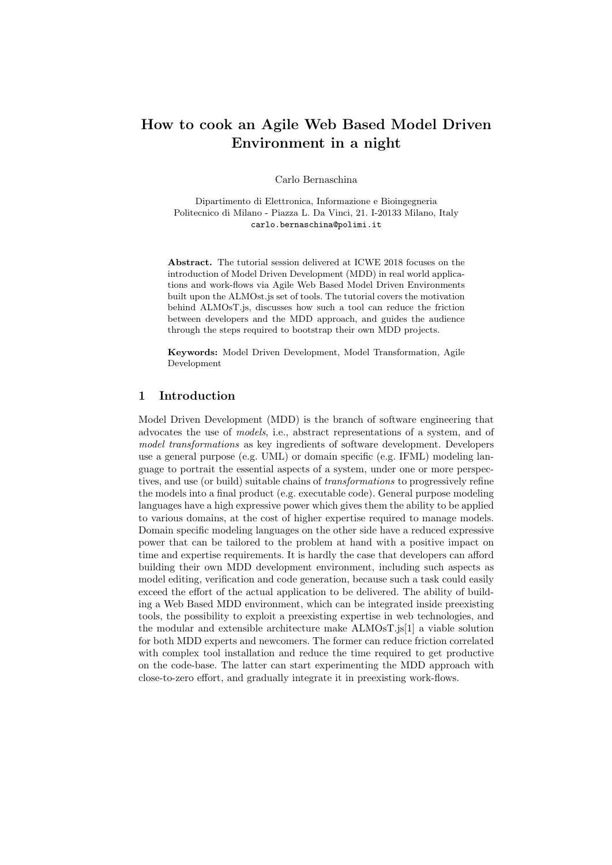# How to cook an Agile Web Based Model Driven Environment in a night

Carlo Bernaschina

Dipartimento di Elettronica, Informazione e Bioingegneria Politecnico di Milano - Piazza L. Da Vinci, 21. I-20133 Milano, Italy carlo.bernaschina@polimi.it

Abstract. The tutorial session delivered at ICWE 2018 focuses on the introduction of Model Driven Development (MDD) in real world applications and work-flows via Agile Web Based Model Driven Environments built upon the ALMOst.js set of tools. The tutorial covers the motivation behind ALMOsT.js, discusses how such a tool can reduce the friction between developers and the MDD approach, and guides the audience through the steps required to bootstrap their own MDD projects.

Keywords: Model Driven Development, Model Transformation, Agile Development

#### 1 Introduction

Model Driven Development (MDD) is the branch of software engineering that advocates the use of models, i.e., abstract representations of a system, and of model transformations as key ingredients of software development. Developers use a general purpose (e.g. UML) or domain specific (e.g. IFML) modeling language to portrait the essential aspects of a system, under one or more perspectives, and use (or build) suitable chains of transformations to progressively refine the models into a final product (e.g. executable code). General purpose modeling languages have a high expressive power which gives them the ability to be applied to various domains, at the cost of higher expertise required to manage models. Domain specific modeling languages on the other side have a reduced expressive power that can be tailored to the problem at hand with a positive impact on time and expertise requirements. It is hardly the case that developers can afford building their own MDD development environment, including such aspects as model editing, verification and code generation, because such a task could easily exceed the effort of the actual application to be delivered. The ability of building a Web Based MDD environment, which can be integrated inside preexisting tools, the possibility to exploit a preexisting expertise in web technologies, and the modular and extensible architecture make ALMOsT.js[1] a viable solution for both MDD experts and newcomers. The former can reduce friction correlated with complex tool installation and reduce the time required to get productive on the code-base. The latter can start experimenting the MDD approach with close-to-zero effort, and gradually integrate it in preexisting work-flows.